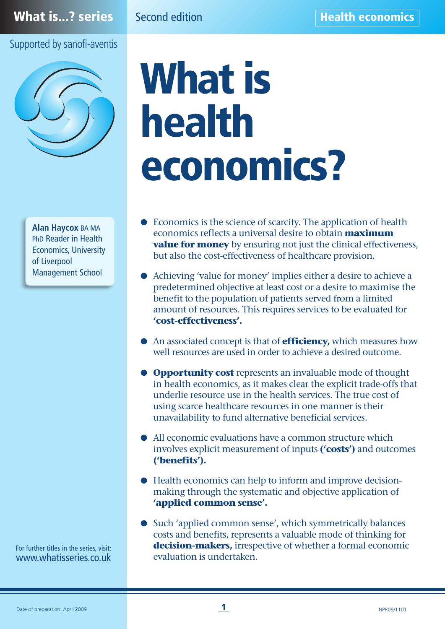# Supported by sanofi-aventis



**Alan Haycox** BA MA PhD Reader in Health Economics, University of Liverpool Management School

For further titles in the series, visit: www.whatisseries.co.uk

# **What is health economics?**

- **●** Economics is the science of scarcity. The application of health economics reflects a universal desire to obtain **maximum value for money** by ensuring not just the clinical effectiveness, but also the cost-effectiveness of healthcare provision.
- **●** Achieving 'value for money' implies either a desire to achieve a predetermined objective at least cost or a desire to maximise the benefit to the population of patients served from a limited amount of resources. This requires services to be evaluated for **'cost-effectiveness'.**
- **●** An associated concept is that of **efficiency,** which measures how well resources are used in order to achieve a desired outcome.
- **● Opportunity cost** represents an invaluable mode of thought in health economics, as it makes clear the explicit trade-offs that underlie resource use in the health services. The true cost of using scarce healthcare resources in one manner is their unavailability to fund alternative beneficial services.
- **●** All economic evaluations have a common structure which involves explicit measurement of inputs **('costs')** and outcomes **('benefits').**
- **●** Health economics can help to inform and improve decisionmaking through the systematic and objective application of **'applied common sense'.**
- Such 'applied common sense', which symmetrically balances costs and benefits, represents a valuable mode of thinking for **decision-makers,** irrespective of whether a formal economic evaluation is undertaken.

**1**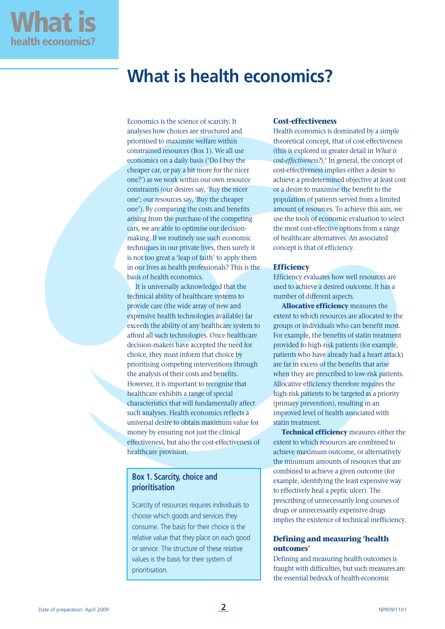## **What is health economics?**

Economics is the science of scarcity. It analyses how choices are structured and prioritised to maximise welfare within constrained resources (Box 1). We all use economics on a daily basis ('Do I buy the cheaper car, or pay a bit more for the nicer one?') as we work within our own resource constraints (our desires say, 'Buy the nicer one'; our resources say, 'Buy the cheaper one'). By comparing the costs and benefits arising from the purchase of the competing cars, we are able to optimise our decisionmaking. If we routinely use such economic techniques in our private lives, then surely it is not too great a 'leap of faith' to apply them in our lives as health professionals? This is the basis of health economics.

It is universally acknowledged that the technical ability of healthcare systems to provide care (the wide array of new and expensive health technologies available) far exceeds the ability of any healthcare system to afford all such technologies. Once healthcare decision-makers have accepted the need for choice, they must inform that choice by prioritising competing interventions through the analysis of their costs and benefits. However, it is important to recognise that healthcare exhibits a range of special characteristics that will fundamentally affect such analyses. Health economics reflects a universal desire to obtain maximum value for money by ensuring not just the clinical effectiveness, but also the cost-effectiveness of healthcare provision.

## **Box 1. Scarcity, choice and prioritisation**

Scarcity of resources requires individuals to choose which goods and services they consume. The basis for their choice is the relative value that they place on each good or service. The structure of these relative values is the basis for their system of prioritisation.

## **Cost-effectiveness**

Health economics is dominated by a simple theoretical concept, that of cost-effectiveness (this is explored in greater detail in *What is cost-effectiveness?*).<sup>1</sup> In general, the concept of cost-effectiveness implies either a desire to achieve a predetermined objective at least cost or a desire to maximise the benefit to the population of patients served from a limited amount of resources. To achieve this aim, we use the tools of economic evaluation to select the most cost-effective options from a range of healthcare alternatives. An associated concept is that of efficiency.

## **Efficiency**

Efficiency evaluates how well resources are used to achieve a desired outcome. It has a number of different aspects.

**Allocative efficiency** measures the extent to which resources are allocated to the groups or individuals who can benefit most. For example, the benefits of statin treatment provided to high-risk patients (for example, patients who have already had a heart attack) are far in excess of the benefits that arise when they are prescribed to low-risk patients. Allocative efficiency therefore requires the high-risk patients to be targeted as a priority (primary prevention), resulting in an improved level of health associated with statin treatment.

**Technical efficiency** measures either the extent to which resources are combined to achieve maximum outcome, or alternatively the minimum amounts of resources that are combined to achieve a given outcome (for example, identifying the least expensive way to effectively heal a peptic ulcer). The prescribing of unnecessarily long courses of drugs or unnecessarily expensive drugs implies the existence of technical inefficiency.

## **Defining and measuring 'health outcomes'**

Defining and measuring health outcomes is fraught with difficulties, but such measures are the essential bedrock of health-economic

**What is**

**health economics?**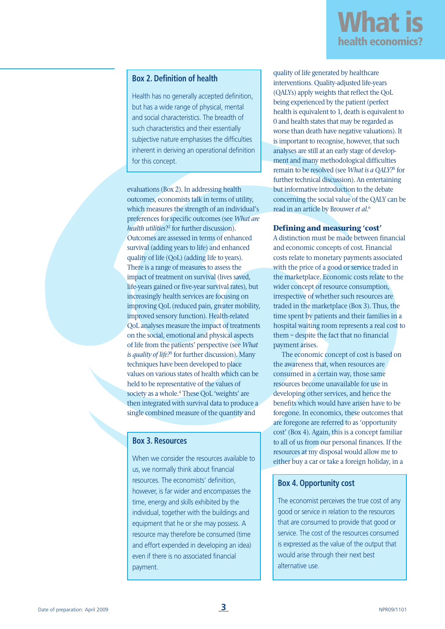

## **Box 2. Definition of health**

Health has no generally accepted definition, but has a wide range of physical, mental and social characteristics. The breadth of such characteristics and their essentially subjective nature emphasises the difficulties inherent in deriving an operational definition for this concept.

evaluations (Box 2). In addressing health outcomes, economists talk in terms of utility, which measures the strength of an individual's preferences for specific outcomes (see *What are health utilities*?2 for further discussion). Outcomes are assessed in terms of enhanced survival (adding years to life) and enhanced quality of life (QoL) (adding life to years). There is a range of measures to assess the impact of treatment on survival (lives saved, life-years gained or five-year survival rates), but increasingly health services are focusing on improving QoL (reduced pain, greater mobility, improved sensory function). Health-related QoL analyses measure the impact of treatments on the social, emotional and physical aspects of life from the patients' perspective (see *What is quality of life?*<sup>3</sup> for further discussion). Many techniques have been developed to place values on various states of health which can be held to be representative of the values of society as a whole.<sup>4</sup> These QoL 'weights' are then integrated with survival data to produce a single combined measure of the quantity and

## **Box 3. Resources**

When we consider the resources available to us, we normally think about financial resources. The economists' definition, however, is far wider and encompasses the time, energy and skills exhibited by the individual, together with the buildings and equipment that he or she may possess. A resource may therefore be consumed (time and effort expended in developing an idea) even if there is no associated financial payment.

quality of life generated by healthcare interventions. Quality-adjusted life-years (QALYs) apply weights that reflect the QoL being experienced by the patient (perfect health is equivalent to 1, death is equivalent to 0 and health states that may be regarded as worse than death have negative valuations). It is important to recognise, however, that such analyses are still at an early stage of development and many methodological difficulties remain to be resolved (see *What is a QALY?*<sup>5</sup> for further technical discussion). An entertaining but informative introduction to the debate concerning the social value of the QALY can be read in an article by Brouwer *et al*. 6

## **Defining and measuring 'cost'**

A distinction must be made between financial and economic concepts of cost. Financial costs relate to monetary payments associated with the price of a good or service traded in the marketplace. Economic costs relate to the wider concept of resource consumption, irrespective of whether such resources are traded in the marketplace (Box 3). Thus, the time spent by patients and their families in a hospital waiting room represents a real cost to them – despite the fact that no financial payment arises.

The economic concept of cost is based on the awareness that, when resources are consumed in a certain way, those same resources become unavailable for use in developing other services, and hence the benefits which would have arisen have to be foregone. In economics, these outcomes that are foregone are referred to as 'opportunity cost' (Box 4). Again, this is a concept familiar to all of us from our personal finances. If the resources at my disposal would allow me to either buy a car or take a foreign holiday, in a

## **Box 4. Opportunity cost**

The economist perceives the true cost of any good or service in relation to the resources that are consumed to provide that good or service. The cost of the resources consumed is expressed as the value of the output that would arise through their next best alternative use.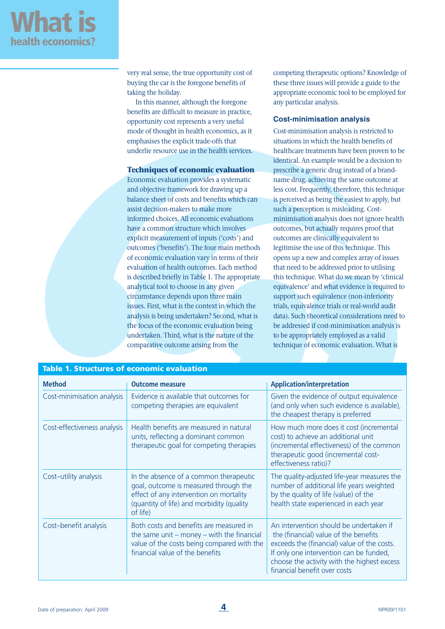

very real sense, the true opportunity cost of buying the car is the foregone benefits of taking the holiday.

In this manner, although the foregone benefits are difficult to measure in practice, opportunity cost represents a very useful mode of thought in health economics, as it emphasises the explicit trade-offs that underlie resource use in the health services.

## **Techniques of economic evaluation**

Economic evaluation provides a systematic and objective framework for drawing up a balance sheet of costs and benefits which can assist decision-makers to make more informed choices. All economic evaluations have a common structure which involves explicit measurement of inputs ('costs') and outcomes ('benefits'). The four main methods of economic evaluation vary in terms of their evaluation of health outcomes. Each method is described briefly in Table 1. The appropriate analytical tool to choose in any given circumstance depends upon three main issues. First, what is the context in which the analysis is being undertaken? Second, what is the focus of the economic evaluation being undertaken. Third, what is the nature of the comparative outcome arising from the

competing therapeutic options? Knowledge of these three issues will provide a guide to the appropriate economic tool to be employed for any particular analysis.

## **Cost-minimisation analysis**

Cost-minimisation analysis is restricted to situations in which the health benefits of healthcare treatments have been proven to be identical. An example would be a decision to prescribe a generic drug instead of a brandname drug, achieving the same outcome at less cost. Frequently, therefore, this technique is perceived as being the easiest to apply, but such a perception is misleading. Costminimisation analysis does not ignore health outcomes, but actually requires proof that outcomes are clinically equivalent to legitimise the use of this technique. This opens up a new and complex array of issues that need to be addressed prior to utilising this technique. What do we mean by 'clinical equivalence' and what evidence is required to support such equivalence (non-inferiority trials, equivalence trials or real-world audit data). Such theoretical considerations need to be addressed if cost-minimisation analysis is to be appropriately employed as a valid technique of economic evaluation. What is

| <b>Method</b>               | <b>Outcome measure</b>                                                                                                                                                              | <b>Application/interpretation</b>                                                                                                                                                                                                                         |
|-----------------------------|-------------------------------------------------------------------------------------------------------------------------------------------------------------------------------------|-----------------------------------------------------------------------------------------------------------------------------------------------------------------------------------------------------------------------------------------------------------|
| Cost-minimisation analysis  | Evidence is available that outcomes for<br>competing therapies are equivalent                                                                                                       | Given the evidence of output equivalence<br>(and only when such evidence is available),<br>the cheapest therapy is preferred                                                                                                                              |
| Cost-effectiveness analysis | Health benefits are measured in natural<br>units, reflecting a dominant common<br>therapeutic goal for competing therapies                                                          | How much more does it cost (incremental<br>cost) to achieve an additional unit<br>(incremental effectiveness) of the common<br>therapeutic good (incremental cost-<br>effectiveness ratio)?                                                               |
| Cost-utility analysis       | In the absence of a common therapeutic<br>goal, outcome is measured through the<br>effect of any intervention on mortality<br>(quantity of life) and morbidity (quality<br>of life) | The quality-adjusted life-year measures the<br>number of additional life years weighted<br>by the quality of life (value) of the<br>health state experienced in each year                                                                                 |
| Cost-benefit analysis       | Both costs and benefits are measured in<br>the same unit $-$ money $-$ with the financial<br>value of the costs being compared with the<br>financial value of the benefits          | An intervention should be undertaken if<br>the (financial) value of the benefits<br>exceeds the (financial) value of the costs.<br>If only one intervention can be funded,<br>choose the activity with the highest excess<br>financial benefit over costs |

## **Table 1. Structures of economic evaluation**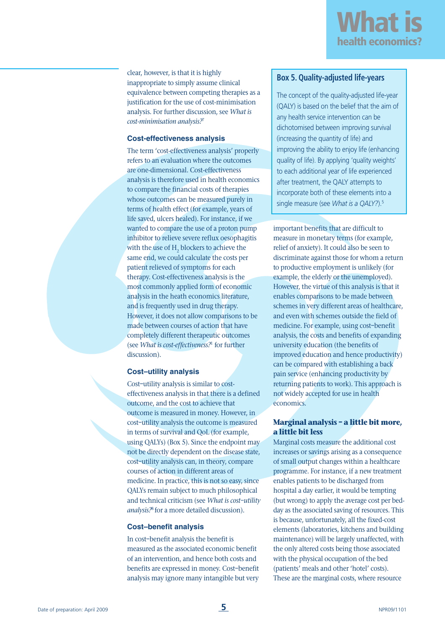

clear, however, is that it is highly inappropriate to simply assume clinical equivalence between competing therapies as a justification for the use of cost-minimisation analysis. For further discussion, see *What is cost-minimisation analysis?*<sup>7</sup>

## **Cost-effectiveness analysis**

The term 'cost-effectiveness analysis' properly refers to an evaluation where the outcomes are one-dimensional. Cost-effectiveness analysis is therefore used in health economics to compare the financial costs of therapies whose outcomes can be measured purely in terms of health effect (for example, years of life saved, ulcers healed). For instance, if we wanted to compare the use of a proton pump inhibitor to relieve severe reflux oesophagitis with the use of H<sub>2</sub> blockers to achieve the same end, we could calculate the costs per patient relieved of symptoms for each therapy. Cost-effectiveness analysis is the most commonly applied form of economic analysis in the heath economics literature, and is frequently used in drug therapy. However, it does not allow comparisons to be made between courses of action that have completely different therapeutic outcomes (see *What is cost-effectiveness?*<sup>1</sup> for further discussion).

## **Cost–utility analysis**

Cost–utility analysis is similar to costeffectiveness analysis in that there is a defined outcome, and the cost to achieve that outcome is measured in money. However, in cost–utility analysis the outcome is measured in terms of survival and QoL (for example, using QALYs) (Box 5). Since the endpoint may not be directly dependent on the disease state, cost–utility analysis can, in theory, compare courses of action in different areas of medicine. In practice, this is not so easy, since QALYs remain subject to much philosophical and technical criticism (see *What is cost–utility analysis?*<sup>8</sup> for a more detailed discussion).

## **Cost–benefit analysis**

In cost–benefit analysis the benefit is measured as the associated economic benefit of an intervention, and hence both costs and benefits are expressed in money. Cost–benefit analysis may ignore many intangible but very

## **Box 5. Quality-adjusted life-years**

The concept of the quality-adjusted life-year (QALY) is based on the belief that the aim of any health service intervention can be dichotomised between improving survival (increasing the quantity of life) and improving the ability to enjoy life (enhancing quality of life). By applying 'quality weights' to each additional year of life experienced after treatment, the QALY attempts to incorporate both of these elements into a single measure (see *What is a QALY?*).5

important benefits that are difficult to measure in monetary terms (for example, relief of anxiety). It could also be seen to discriminate against those for whom a return to productive employment is unlikely (for example, the elderly or the unemployed). However, the virtue of this analysis is that it enables comparisons to be made between schemes in very different areas of healthcare, and even with schemes outside the field of medicine. For example, using cost–benefit analysis, the costs and benefits of expanding university education (the benefits of improved education and hence productivity) can be compared with establishing a back pain service (enhancing productivity by returning patients to work). This approach is not widely accepted for use in health economics.

## **Marginal analysis – a little bit more, a little bit less**

Marginal costs measure the additional cost increases or savings arising as a consequence of small output changes within a healthcare programme. For instance, if a new treatment enables patients to be discharged from hospital a day earlier, it would be tempting (but wrong) to apply the average cost per bedday as the associated saving of resources. This is because, unfortunately, all the fixed-cost elements (laboratories, kitchens and building maintenance) will be largely unaffected, with the only altered costs being those associated with the physical occupation of the bed (patients' meals and other 'hotel' costs). These are the marginal costs, where resource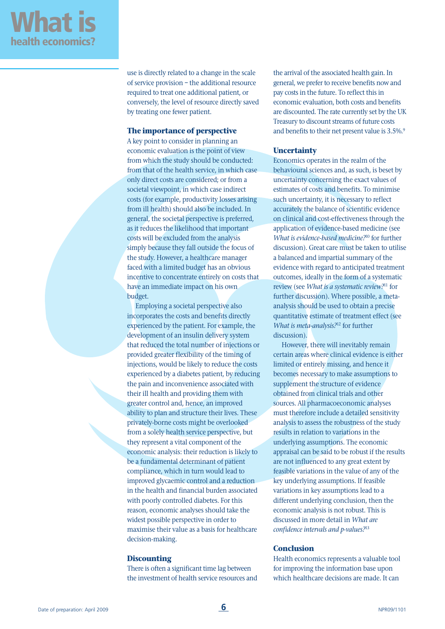use is directly related to a change in the scale of service provision – the additional resource required to treat one additional patient, or conversely, the level of resource directly saved by treating one fewer patient.

## **The importance of perspective**

A key point to consider in planning an economic evaluation is the point of view from which the study should be conducted: from that of the health service, in which case only direct costs are considered; or from a societal viewpoint, in which case indirect costs (for example, productivity losses arising from ill health) should also be included. In general, the societal perspective is preferred, as it reduces the likelihood that important costs will be excluded from the analysis simply because they fall outside the focus of the study. However, a healthcare manager faced with a limited budget has an obvious incentive to concentrate entirely on costs that have an immediate impact on his own budget.

Employing a societal perspective also incorporates the costs and benefits directly experienced by the patient. For example, the development of an insulin delivery system that reduced the total number of injections or provided greater flexibility of the timing of injections, would be likely to reduce the costs experienced by a diabetes patient, by reducing the pain and inconvenience associated with their ill health and providing them with greater control and, hence, an improved ability to plan and structure their lives. These privately-borne costs might be overlooked from a solely health service perspective, but they represent a vital component of the economic analysis: their reduction is likely to be a fundamental determinant of patient compliance, which in turn would lead to improved glycaemic control and a reduction in the health and financial burden associated with poorly controlled diabetes. For this reason, economic analyses should take the widest possible perspective in order to maximise their value as a basis for healthcare decision-making.

## **Discounting**

There is often a significant time lag between the investment of health service resources and the arrival of the associated health gain. In general, we prefer to receive benefits now and pay costs in the future. To reflect this in economic evaluation, both costs and benefits are discounted. The rate currently set by the UK Treasury to discount streams of future costs and benefits to their net present value is 3.5%.<sup>9</sup>

## **Uncertainty**

Economics operates in the realm of the behavioural sciences and, as such, is beset by uncertainty concerning the exact values of estimates of costs and benefits. To minimise such uncertainty, it is necessary to reflect accurately the balance of scientific evidence on clinical and cost-effectiveness through the application of evidence-based medicine (see *What is evidence-based medicine?*<sup>10</sup> for further discussion). Great care must be taken to utilise a balanced and impartial summary of the evidence with regard to anticipated treatment outcomes, ideally in the form of a systematic review (see *What is a systematic review?*<sup>11</sup> for further discussion). Where possible, a metaanalysis should be used to obtain a precise quantitative estimate of treatment effect (see *What is meta-analysis?*<sup>12</sup> for further discussion).

However, there will inevitably remain certain areas where clinical evidence is either limited or entirely missing, and hence it becomes necessary to make assumptions to supplement the structure of evidence obtained from clinical trials and other sources. All pharmacoeconomic analyses must therefore include a detailed sensitivity analysis to assess the robustness of the study results in relation to variations in the underlying assumptions. The economic appraisal can be said to be robust if the results are not influenced to any great extent by feasible variations in the value of any of the key underlying assumptions. If feasible variations in key assumptions lead to a different underlying conclusion, then the economic analysis is not robust. This is discussed in more detail in *What are confidence intervals and p-values?*<sup>13</sup>

## **Conclusion**

Health economics represents a valuable tool for improving the information base upon which healthcare decisions are made. It can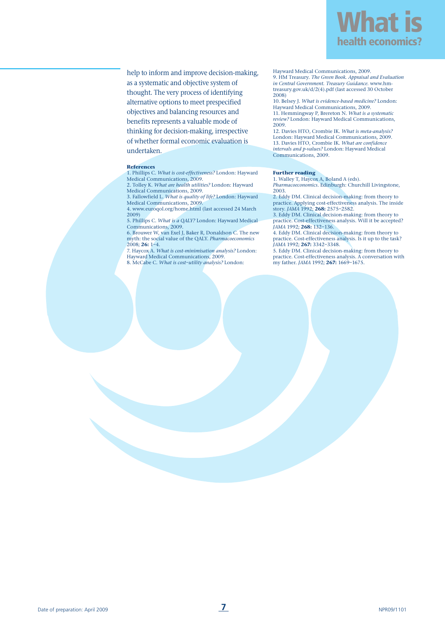

help to inform and improve decision-making, as a systematic and objective system of thought. The very process of identifying alternative options to meet prespecified objectives and balancing resources and benefits represents a valuable mode of thinking for decision-making, irrespective of whether formal economic evaluation is undertaken.

#### **References**

1. Phillips C. *What is cost-effectiveness?* London: Hayward Medical Communications, 2009. 2. Tolley K. *What are health utilities?* London: Hayward

Medical Communications, 2009.

3. Fallowfield L. *What is quality of life?* London: Hayward Medical Communications, 2009. 4. www.euroqol.org/home.html (last accessed 24 March

2009) 5. Phillips C. *What is a QALY?* London: Hayward Medical Communications, 2009.

6. Brouwer W, van Exel J, Baker R, Donaldson C. The new myth: the social value of the QALY. *Pharmacoeconomics*

2008; **26:** 1–4. 7. Haycox A. *What is cost-minimisation analysis?* London: Hayward Medical Communications, 2009. 8. McCabe C. *What is cost–utility analysis?* London:

Hayward Medical Communications, 2009. 9. HM Treasury. *The Green Book. Appraisal and Evaluation in Central Government. Treasury Guidance.* www.hmtreasury.gov.uk/d/2(4).pdf (last accessed 30 October 2008)

10. Belsey J. *What is evidence-based medicine?* London: Hayward Medical Communications, 2009. 11. Hemmingway P, Brereton N. *What is a systematic review?* London: Hayward Medical Communications, 2009.

12. Davies HTO, Crombie IK. *What is meta-analysis?* London: Hayward Medical Communications, 2009. 13. Davies HTO, Crombie IK. *What are confidence intervals and p-values?* London: Hayward Medical Communications, 2009.

### **Further reading**

1. Walley T, Haycox A, Boland A (eds).

*Pharmacoeconomics*. Edinburgh: Churchill Livingstone, 2003.

2. Eddy DM. Clinical decision-making: from theory to practice. Applying cost-effectiveness analysis. The inside story. *JAMA* 1992; **268:** 2575–2582.

3. Eddy DM. Clinical decision-making: from theory to practice. Cost-effectiveness analysis. Will it be accepted? *JAMA* 1992; **268:** 132–136.

4. Eddy DM. Clinical decision-making: from theory to practice. Cost-effectiveness analysis. Is it up to the task? *JAMA* 1992; **267:** 3342–3348.

5. Eddy DM. Clinical decision-making: from theory to practice. Cost-effectiveness analysis. A conversation with my father. *JAMA* 1992; **267:** 1669–1675.